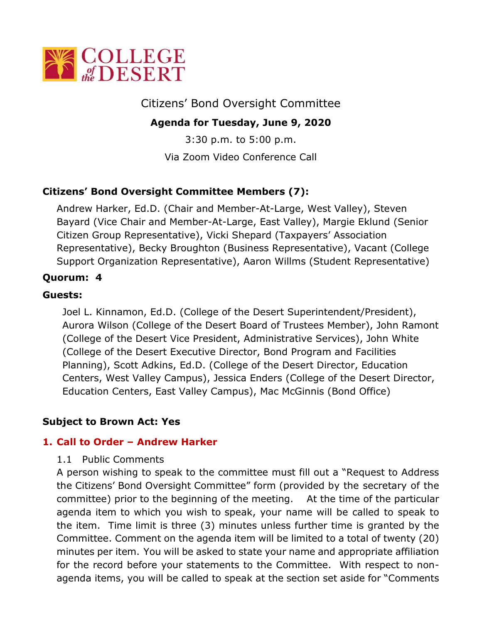

Citizens' Bond Oversight Committee

# **Agenda for Tuesday, June 9, 2020**

3:30 p.m. to 5:00 p.m. Via Zoom Video Conference Call

# **Citizens' Bond Oversight Committee Members (7):**

Andrew Harker, Ed.D. (Chair and Member-At-Large, West Valley), Steven Bayard (Vice Chair and Member-At-Large, East Valley), Margie Eklund (Senior Citizen Group Representative), Vicki Shepard (Taxpayers' Association Representative), Becky Broughton (Business Representative), Vacant (College Support Organization Representative), Aaron Willms (Student Representative)

### **Quorum: 4**

### **Guests:**

Joel L. Kinnamon, Ed.D. (College of the Desert Superintendent/President), Aurora Wilson (College of the Desert Board of Trustees Member), John Ramont (College of the Desert Vice President, Administrative Services), John White (College of the Desert Executive Director, Bond Program and Facilities Planning), Scott Adkins, Ed.D. (College of the Desert Director, Education Centers, West Valley Campus), Jessica Enders (College of the Desert Director, Education Centers, East Valley Campus), Mac McGinnis (Bond Office)

#### **Subject to Brown Act: Yes**

#### **1. Call to Order – Andrew Harker**

#### 1.1 Public Comments

A person wishing to speak to the committee must fill out a "Request to Address the Citizens' Bond Oversight Committee" form (provided by the secretary of the committee) prior to the beginning of the meeting. At the time of the particular agenda item to which you wish to speak, your name will be called to speak to the item. Time limit is three (3) minutes unless further time is granted by the Committee. Comment on the agenda item will be limited to a total of twenty (20) minutes per item. You will be asked to state your name and appropriate affiliation for the record before your statements to the Committee. With respect to nonagenda items, you will be called to speak at the section set aside for "Comments